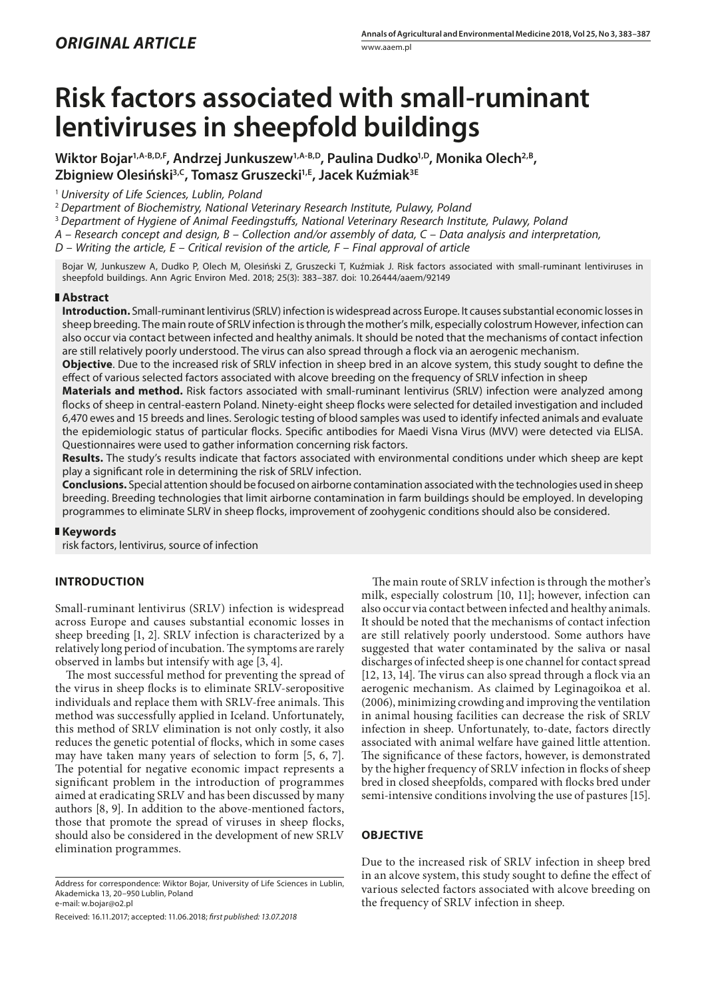# **Risk factors associated with small-ruminant lentiviruses in sheepfold buildings**

Wiktor Bojar<sup>1,A-B,D,F</sup>, Andrzej Junkuszew<sup>1,A-B,D</sup>, Paulina Dudko<sup>1,D</sup>, Monika Olech<sup>2,B</sup>, **Zbigniew Olesiński3,C, Tomasz Gruszecki1,E, Jacek Kuźmiak3E**

<sup>1</sup> *University of Life Sciences, Lublin, Poland*

<sup>2</sup> *Department of Biochemistry, National Veterinary Research Institute, Pulawy, Poland*

<sup>3</sup> *Department of Hygiene of Animal Feedingstuffs, National Veterinary Research Institute, Pulawy, Poland*

*A – Research concept and design, B – Collection and/or assembly of data, C – Data analysis and interpretation,* 

*D – Writing the article, E – Critical revision of the article, F – Final approval of article*

Bojar W, Junkuszew A, Dudko P, Olech M, Olesiński Z, Gruszecki T, Kuźmiak J. Risk factors associated with small-ruminant lentiviruses in sheepfold buildings. Ann Agric Environ Med. 2018; 25(3): 383–387. doi: 10.26444/aaem/92149

## **Abstract**

**Introduction.** Small-ruminant lentivirus (SRLV) infection is widespread across Europe. It causes substantial economic losses in sheep breeding. The main route of SRLV infection is through the mother's milk, especially colostrum However, infection can also occur via contact between infected and healthy animals. It should be noted that the mechanisms of contact infection are still relatively poorly understood. The virus can also spread through a flock via an aerogenic mechanism.

**Objective**. Due to the increased risk of SRLV infection in sheep bred in an alcove system, this study sought to define the effect of various selected factors associated with alcove breeding on the frequency of SRLV infection in sheep

**Materials and method.** Risk factors associated with small-ruminant lentivirus (SRLV) infection were analyzed among flocks of sheep in central-eastern Poland. Ninety-eight sheep flocks were selected for detailed investigation and included 6,470 ewes and 15 breeds and lines. Serologic testing of blood samples was used to identify infected animals and evaluate the epidemiologic status of particular flocks. Specific antibodies for Maedi Visna Virus (MVV) were detected via ELISA. Questionnaires were used to gather information concerning risk factors.

**Results.** The study's results indicate that factors associated with environmental conditions under which sheep are kept play a significant role in determining the risk of SRLV infection.

**Conclusions.** Special attention should be focused on airborne contamination associated with the technologies used in sheep breeding. Breeding technologies that limit airborne contamination in farm buildings should be employed. In developing programmes to eliminate SLRV in sheep flocks, improvement of zoohygenic conditions should also be considered.

## **Keywords**

risk factors, lentivirus, source of infection

## **INTRODUCTION**

Small-ruminant lentivirus (SRLV) infection is widespread across Europe and causes substantial economic losses in sheep breeding [1, 2]. SRLV infection is characterized by a relatively long period of incubation. The symptoms are rarely observed in lambs but intensify with age [3, 4].

The most successful method for preventing the spread of the virus in sheep flocks is to eliminate SRLV-seropositive individuals and replace them with SRLV-free animals. This method was successfully applied in Iceland. Unfortunately, this method of SRLV elimination is not only costly, it also reduces the genetic potential of flocks, which in some cases may have taken many years of selection to form [5, 6, 7]. The potential for negative economic impact represents a significant problem in the introduction of programmes aimed at eradicating SRLV and has been discussed by many authors [8, 9]. In addition to the above-mentioned factors, those that promote the spread of viruses in sheep flocks, should also be considered in the development of new SRLV elimination programmes.

Address for correspondence: Wiktor Bojar, University of Life Sciences in Lublin, Akademicka 13, 20–950 Lublin, Poland e-mail: w.bojar@o2.pl

Received: 16.11.2017; accepted: 11.06.2018; *first published: 13.07.2018*

The main route of SRLV infection is through the mother's milk, especially colostrum [10, 11]; however, infection can also occur via contact between infected and healthy animals. It should be noted that the mechanisms of contact infection are still relatively poorly understood. Some authors have suggested that water contaminated by the saliva or nasal discharges of infected sheep is one channel for contact spread [12, 13, 14]*.* The virus can also spread through a flock via an aerogenic mechanism. As claimed by Leginagoikoa et al. (2006), minimizing crowding and improving the ventilation in animal housing facilities can decrease the risk of SRLV infection in sheep. Unfortunately, to-date, factors directly associated with animal welfare have gained little attention. The significance of these factors, however, is demonstrated by the higher frequency of SRLV infection in flocks of sheep bred in closed sheepfolds, compared with flocks bred under semi-intensive conditions involving the use of pastures [15].

## **OBJECTIVE**

Due to the increased risk of SRLV infection in sheep bred in an alcove system, this study sought to define the effect of various selected factors associated with alcove breeding on the frequency of SRLV infection in sheep.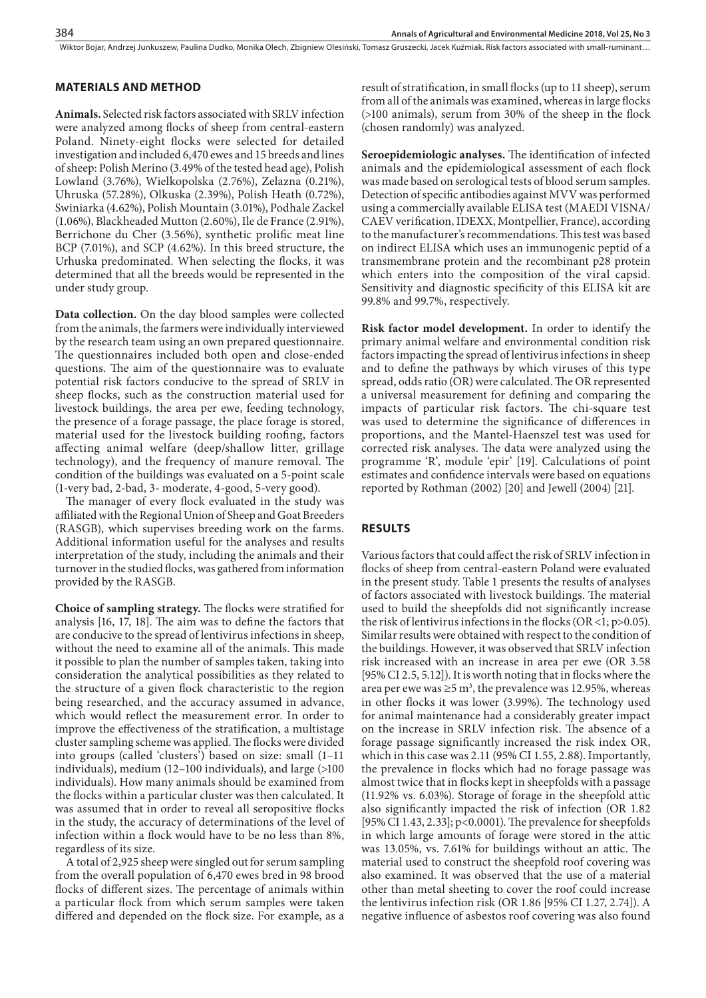Wiktor Bojar, Andrzej Junkuszew, Paulina Dudko, Monika Olech, Zbigniew Olesiński, Tomasz Gruszecki, Jacek Kuźmiak. Risk factors associated with small-ruminant…

## **MATERIALS AND METHOD**

**Animals.** Selected risk factors associated with SRLV infection were analyzed among flocks of sheep from central-eastern Poland. Ninety-eight flocks were selected for detailed investigation and included 6,470 ewes and 15 breeds and lines of sheep: Polish Merino (3.49% of the tested head age), Polish Lowland (3.76%), Wielkopolska (2.76%), Zelazna (0.21%), Uhruska (57.28%), Olkuska (2.39%), Polish Heath (0.72%), Swiniarka (4.62%), Polish Mountain (3.01%), Podhale Zackel (1.06%), Blackheaded Mutton (2.60%), Ile de France (2.91%), Berrichone du Cher (3.56%), synthetic prolific meat line BCP (7.01%), and SCP (4.62%). In this breed structure, the Urhuska predominated. When selecting the flocks, it was determined that all the breeds would be represented in the under study group.

**Data collection.** On the day blood samples were collected from the animals, the farmers were individually interviewed by the research team using an own prepared questionnaire. The questionnaires included both open and close-ended questions. The aim of the questionnaire was to evaluate potential risk factors conducive to the spread of SRLV in sheep flocks, such as the construction material used for livestock buildings, the area per ewe, feeding technology, the presence of a forage passage, the place forage is stored, material used for the livestock building roofing, factors affecting animal welfare (deep/shallow litter, grillage technology), and the frequency of manure removal. The condition of the buildings was evaluated on a 5-point scale (1-very bad, 2-bad, 3- moderate, 4-good, 5-very good).

The manager of every flock evaluated in the study was affiliated with the Regional Union of Sheep and Goat Breeders (RASGB), which supervises breeding work on the farms. Additional information useful for the analyses and results interpretation of the study, including the animals and their turnover in the studied flocks, was gathered from information provided by the RASGB.

**Choice of sampling strategy.** The flocks were stratified for analysis [16, 17, 18]. The aim was to define the factors that are conducive to the spread of lentivirus infections in sheep, without the need to examine all of the animals. This made it possible to plan the number of samples taken, taking into consideration the analytical possibilities as they related to the structure of a given flock characteristic to the region being researched, and the accuracy assumed in advance, which would reflect the measurement error. In order to improve the effectiveness of the stratification, a multistage cluster sampling scheme was applied. The flocks were divided into groups (called 'clusters') based on size: small (1–11 individuals), medium (12–100 individuals), and large (>100 individuals). How many animals should be examined from the flocks within a particular cluster was then calculated. It was assumed that in order to reveal all seropositive flocks in the study, the accuracy of determinations of the level of infection within a flock would have to be no less than 8%, regardless of its size.

A total of 2,925 sheep were singled out for serum sampling from the overall population of 6,470 ewes bred in 98 brood flocks of different sizes. The percentage of animals within a particular flock from which serum samples were taken differed and depended on the flock size. For example, as a

result of stratification, in small flocks (up to 11 sheep), serum from all of the animals was examined, whereas in large flocks (>100 animals), serum from 30% of the sheep in the flock (chosen randomly) was analyzed.

**Seroepidemiologic analyses.** The identification of infected animals and the epidemiological assessment of each flock was made based on serological tests of blood serum samples. Detection of specific antibodies against MVV was performed using a commercially available ELISA test (MAEDI VISNA/ CAEV verification, IDEXX, Montpellier, France), according to the manufacturer's recommendations. This test was based on indirect ELISA which uses an immunogenic peptid of a transmembrane protein and the recombinant p28 protein which enters into the composition of the viral capsid. Sensitivity and diagnostic specificity of this ELISA kit are 99.8% and 99.7%, respectively.

**Risk factor model development.** In order to identify the primary animal welfare and environmental condition risk factors impacting the spread of lentivirus infections in sheep and to define the pathways by which viruses of this type spread, odds ratio (OR) were calculated. The OR represented a universal measurement for defining and comparing the impacts of particular risk factors. The chi-square test was used to determine the significance of differences in proportions, and the Mantel-Haenszel test was used for corrected risk analyses. The data were analyzed using the programme 'R', module 'epir' [19]. Calculations of point estimates and confidence intervals were based on equations reported by Rothman (2002) [20] and Jewell (2004) [21].

## **RESULTS**

Various factors that could affect the risk of SRLV infection in flocks of sheep from central-eastern Poland were evaluated in the present study. Table 1 presents the results of analyses of factors associated with livestock buildings. The material used to build the sheepfolds did not significantly increase the risk of lentivirus infections in the flocks (OR <1;  $p > 0.05$ ). Similar results were obtained with respect to the condition of the buildings. However, it was observed that SRLV infection risk increased with an increase in area per ewe (OR 3.58 [95% CI 2.5, 5.12]). It is worth noting that in flocks where the area per ewe was  $\geq 5$  m<sup>3</sup>, the prevalence was 12.95%, whereas in other flocks it was lower (3.99%). The technology used for animal maintenance had a considerably greater impact on the increase in SRLV infection risk. The absence of a forage passage significantly increased the risk index OR, which in this case was 2.11 (95% CI 1.55, 2.88). Importantly, the prevalence in flocks which had no forage passage was almost twice that in flocks kept in sheepfolds with a passage (11.92% vs. 6.03%). Storage of forage in the sheepfold attic also significantly impacted the risk of infection (OR 1.82 [95% CI 1.43, 2.33]; p<0.0001). The prevalence for sheepfolds in which large amounts of forage were stored in the attic was 13.05%, vs. 7.61% for buildings without an attic. The material used to construct the sheepfold roof covering was also examined. It was observed that the use of a material other than metal sheeting to cover the roof could increase the lentivirus infection risk (OR 1.86 [95% CI 1.27, 2.74]). A negative influence of asbestos roof covering was also found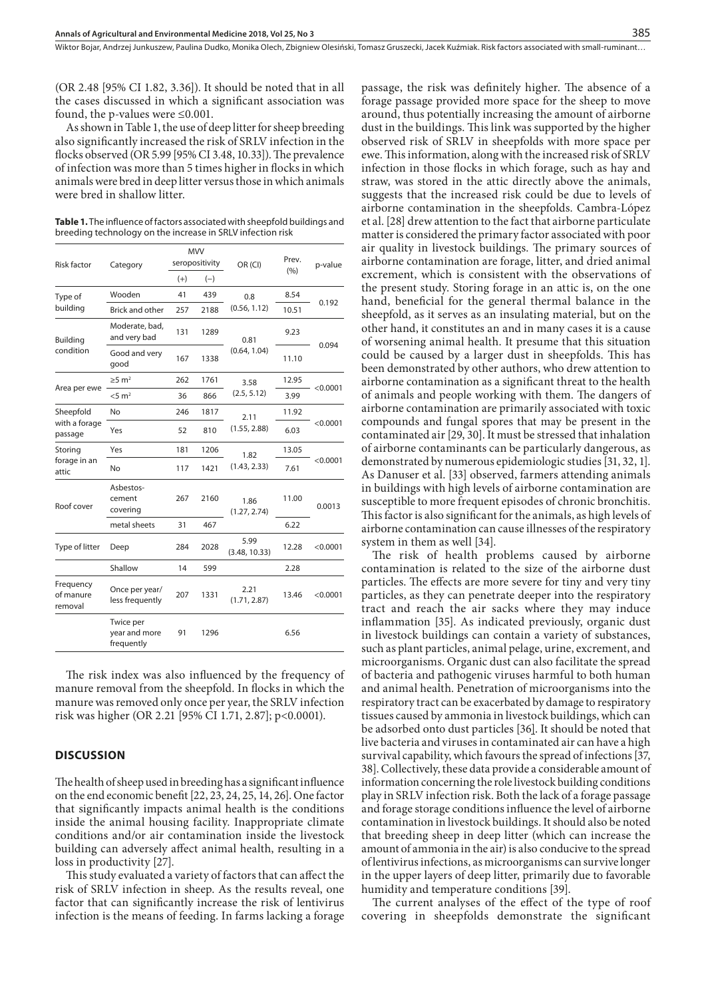(OR 2.48 [95% CI 1.82, 3.36]). It should be noted that in all the cases discussed in which a significant association was found, the p-values were ≤0.001.

As shown in Table 1, the use of deep litter for sheep breeding also significantly increased the risk of SRLV infection in the flocks observed (OR 5.99 [95% CI 3.48, 10.33]). The prevalence of infection was more than 5 times higher in flocks in which animals were bred in deep litter versus those in which animals were bred in shallow litter.

**Table 1.** The influence of factors associated with sheepfold buildings and breeding technology on the increase in SRLV infection risk

| Risk factor                           | Category                                 | <b>MVV</b><br>seropositivity |       | OR (CI)               | Prev.<br>(9/6) | p-value  |
|---------------------------------------|------------------------------------------|------------------------------|-------|-----------------------|----------------|----------|
|                                       |                                          | $(+)$                        | $(-)$ |                       |                |          |
| Type of<br>building                   | Wooden                                   | 41                           | 439   | 0.8<br>(0.56, 1.12)   | 8.54           | 0.192    |
|                                       | <b>Brick and other</b>                   | 257                          | 2188  |                       | 10.51          |          |
| Building<br>condition                 | Moderate, bad,<br>and very bad           | 131                          | 1289  | 0.81<br>(0.64, 1.04)  | 9.23           | 0.094    |
|                                       | Good and very<br>good                    | 167                          | 1338  |                       | 11.10          |          |
| Area per ewe                          | $\geq$ 5 m <sup>2</sup>                  | 262                          | 1761  | 3.58<br>(2.5, 5.12)   | 12.95          | < 0.0001 |
|                                       | $<$ 5 m <sup>2</sup>                     | 36                           | 866   |                       | 3.99           |          |
| Sheepfold<br>with a forage<br>passage | No                                       | 246                          | 1817  | 2.11<br>(1.55, 2.88)  | 11.92          | < 0.0001 |
|                                       | Yes                                      | 52                           | 810   |                       | 6.03           |          |
| Storing<br>forage in an<br>attic      | Yes                                      | 181                          | 1206  | 1.82<br>(1.43, 2.33)  | 13.05          | < 0.0001 |
|                                       | No                                       | 117                          | 1421  |                       | 7.61           |          |
| Roof cover                            | Asbestos-<br>cement<br>covering          | 267                          | 2160  | 1.86<br>(1.27, 2.74)  | 11.00          | 0.0013   |
|                                       | metal sheets                             | 31                           | 467   |                       | 6.22           |          |
| Type of litter                        | Deep                                     | 284                          | 2028  | 5.99<br>(3.48, 10.33) | 12.28          | < 0.0001 |
|                                       | Shallow                                  | 14                           | 599   |                       | 2.28           |          |
| Frequency<br>of manure<br>removal     | Once per year/<br>less frequently        | 207                          | 1331  | 2.21<br>(1.71, 2.87)  | 13.46          | < 0.0001 |
|                                       | Twice per<br>year and more<br>frequently | 91                           | 1296  |                       | 6.56           |          |

The risk index was also influenced by the frequency of manure removal from the sheepfold. In flocks in which the manure was removed only once per year, the SRLV infection risk was higher (OR 2.21 [95% CI 1.71, 2.87]; p<0.0001).

### **DISCUSSION**

The health of sheep used in breeding has a significant influence on the end economic benefit [22, 23, 24, 25, 14, 26]. One factor that significantly impacts animal health is the conditions inside the animal housing facility. Inappropriate climate conditions and/or air contamination inside the livestock building can adversely affect animal health, resulting in a loss in productivity [27].

This study evaluated a variety of factors that can affect the risk of SRLV infection in sheep. As the results reveal, one factor that can significantly increase the risk of lentivirus infection is the means of feeding. In farms lacking a forage passage, the risk was definitely higher. The absence of a forage passage provided more space for the sheep to move around, thus potentially increasing the amount of airborne dust in the buildings. This link was supported by the higher observed risk of SRLV in sheepfolds with more space per ewe. This information, along with the increased risk of SRLV infection in those flocks in which forage, such as hay and straw, was stored in the attic directly above the animals, suggests that the increased risk could be due to levels of airborne contamination in the sheepfolds. Cambra-López et al. [28] drew attention to the fact that airborne particulate matter is considered the primary factor associated with poor air quality in livestock buildings. The primary sources of airborne contamination are forage, litter, and dried animal excrement, which is consistent with the observations of the present study. Storing forage in an attic is, on the one hand, beneficial for the general thermal balance in the sheepfold, as it serves as an insulating material, but on the other hand, it constitutes an and in many cases it is a cause of worsening animal health. It presume that this situation could be caused by a larger dust in sheepfolds. This has been demonstrated by other authors, who drew attention to airborne contamination as a significant threat to the health of animals and people working with them. The dangers of airborne contamination are primarily associated with toxic compounds and fungal spores that may be present in the contaminated air [29, 30]. It must be stressed that inhalation of airborne contaminants can be particularly dangerous, as demonstrated by numerous epidemiologic studies [31, 32, 1]. As Danuser et al. [33] observed, farmers attending animals in buildings with high levels of airborne contamination are susceptible to more frequent episodes of chronic bronchitis. This factor is also significant for the animals, as high levels of airborne contamination can cause illnesses of the respiratory system in them as well [34].

The risk of health problems caused by airborne contamination is related to the size of the airborne dust particles. The effects are more severe for tiny and very tiny particles, as they can penetrate deeper into the respiratory tract and reach the air sacks where they may induce inflammation [35]. As indicated previously, organic dust in livestock buildings can contain a variety of substances, such as plant particles, animal pelage, urine, excrement, and microorganisms. Organic dust can also facilitate the spread of bacteria and pathogenic viruses harmful to both human and animal health. Penetration of microorganisms into the respiratory tract can be exacerbated by damage to respiratory tissues caused by ammonia in livestock buildings, which can be adsorbed onto dust particles [36]. It should be noted that live bacteria and viruses in contaminated air can have a high survival capability, which favours the spread of infections [37, 38]. Collectively, these data provide a considerable amount of information concerning the role livestock building conditions play in SRLV infection risk. Both the lack of a forage passage and forage storage conditions influence the level of airborne contamination in livestock buildings. It should also be noted that breeding sheep in deep litter (which can increase the amount of ammonia in the air) is also conducive to the spread of lentivirus infections, as microorganisms can survive longer in the upper layers of deep litter, primarily due to favorable humidity and temperature conditions [39].

The current analyses of the effect of the type of roof covering in sheepfolds demonstrate the significant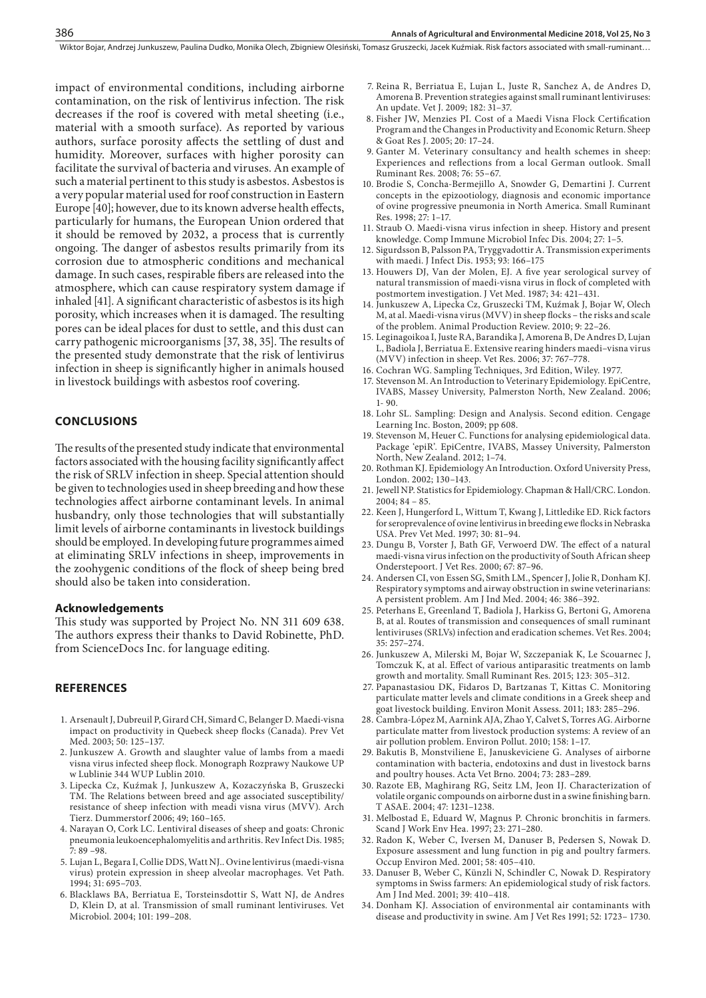impact of environmental conditions, including airborne contamination, on the risk of lentivirus infection. The risk decreases if the roof is covered with metal sheeting (i.e., material with a smooth surface). As reported by various authors, surface porosity affects the settling of dust and humidity. Moreover, surfaces with higher porosity can facilitate the survival of bacteria and viruses. An example of such a material pertinent to this study is asbestos. Asbestos is a very popular material used for roof construction in Eastern Europe [40]; however, due to its known adverse health effects, particularly for humans, the European Union ordered that it should be removed by 2032, a process that is currently ongoing. The danger of asbestos results primarily from its corrosion due to atmospheric conditions and mechanical damage. In such cases, respirable fibers are released into the atmosphere, which can cause respiratory system damage if inhaled [41]. A significant characteristic of asbestos is its high porosity, which increases when it is damaged. The resulting pores can be ideal places for dust to settle, and this dust can carry pathogenic microorganisms [37, 38, 35]. The results of the presented study demonstrate that the risk of lentivirus infection in sheep is significantly higher in animals housed in livestock buildings with asbestos roof covering.

#### **CONCLUSIONS**

386

The results of the presented study indicate that environmental factors associated with the housing facility significantly affect the risk of SRLV infection in sheep. Special attention should be given to technologies used in sheep breeding and how these technologies affect airborne contaminant levels. In animal husbandry, only those technologies that will substantially limit levels of airborne contaminants in livestock buildings should be employed. In developing future programmes aimed at eliminating SRLV infections in sheep, improvements in the zoohygenic conditions of the flock of sheep being bred should also be taken into consideration.

#### **Acknowledgements**

This study was supported by Project No. NN 311 609 638. The authors express their thanks to David Robinette, PhD. from ScienceDocs Inc. for language editing.

## **REFERENCES**

- 1. Arsenault J, Dubreuil P, Girard CH, Simard C, Belanger D. Maedi-visna impact on productivity in Quebeck sheep flocks (Canada). Prev Vet Med. 2003; 50: 125–137.
- 2. Junkuszew A. Growth and slaughter value of lambs from a maedi visna virus infected sheep flock. Monograph Rozprawy Naukowe UP w Lublinie 344 WUP Lublin 2010.
- 3. Lipecka Cz, Kuźmak J, Junkuszew A, Kozaczyńska B, Gruszecki TM. The Relations between breed and age associated susceptibility/ resistance of sheep infection with meadi visna virus (MVV). Arch Tierz. Dummerstorf 2006; 49; 160–165.
- 4. Narayan O, Cork LC. Lentiviral diseases of sheep and goats: Chronic pneumonia leukoencephalomyelitis and arthritis. Rev Infect Dis. 1985;  $7:89 - 98.$
- 5. Lujan L, Begara I, Collie DDS, Watt NJ.. Ovine lentivirus (maedi-visna virus) protein expression in sheep alveolar macrophages. Vet Path. 1994; 31: 695–703.
- 6. Blacklaws BA, Berriatua E, Torsteinsdottir S, Watt NJ, de Andres D, Klein D, at al. Transmission of small ruminant lentiviruses. Vet Microbiol. 2004; 101: 199–208.
- 7. Reina R, Berriatua E, Lujan L, Juste R, Sanchez A, de Andres D, Amorena B. Prevention strategies against small ruminant lentiviruses: An update. Vet J. 2009; 182: 31–37.
- 8. Fisher JW, Menzies PI. Cost of a Maedi Visna Flock Certification Program and the Changes in Productivity and Economic Return. Sheep & Goat Res J. 2005; 20: 17–24.
- 9. Ganter M. Veterinary consultancy and health schemes in sheep: Experiences and reflections from a local German outlook. Small Ruminant Res. 2008; 76: 55–67.
- 10. Brodie S, Concha-Bermejillo A, Snowder G, Demartini J. Current concepts in the epizootiology, diagnosis and economic importance of ovine progressive pneumonia in North America. Small Ruminant Res. 1998; 27: 1–17.
- 11. Straub O. Maedi-visna virus infection in sheep. History and present knowledge. Comp Immune Microbiol Infec Dis. 2004; 27: 1–5.
- 12. Sigurdsson B, Palsson PA, Tryggvadottir A. Transmission experiments with maedi. J Infect Dis. 1953; 93: 166–175
- 13. Houwers DJ, Van der Molen, EJ. A five year serological survey of natural transmission of maedi-visna virus in flock of completed with postmortem investigation. J Vet Med. 1987; 34: 421–431.
- 14. Junkuszew A, Lipecka Cz, Gruszecki TM, Kuźmak J, Bojar W, Olech M, at al. Maedi-visna virus (MVV) in sheep flocks – the risks and scale of the problem. Animal Production Review. 2010; 9: 22–26.
- 15. Leginagoikoa I, Juste RA, Barandika J, Amorena B, De Andres D, Lujan L, Badiola J, Berriatua E. Extensive rearing hinders maedi–visna virus (MVV) infection in sheep. Vet Res. 2006; 37: 767–778.
- 16. Cochran WG. Sampling Techniques, 3rd Edition, Wiley. 1977.
- 17. Stevenson M. An Introduction to Veterinary Epidemiology. EpiCentre, IVABS, Massey University, Palmerston North, New Zealand. 2006; 1- 90.
- 18. Lohr SL. Sampling: Design and Analysis. Second edition. Cengage Learning Inc. Boston, 2009; pp 608.
- 19. Stevenson M, Heuer C. Functions for analysing epidemiological data. Package 'epiR'. EpiCentre, IVABS, Massey University, Palmerston North, New Zealand. 2012; 1–74.
- 20. Rothman KJ. Epidemiology An Introduction. Oxford University Press, London. 2002; 130–143.
- 21. Jewell NP. Statistics for Epidemiology. Chapman & Hall/CRC. London. 2004; 84 – 85.
- 22. Keen J, Hungerford L, Wittum T, Kwang J, Littledike ED. Rick factors for seroprevalence of ovine lentivirus in breeding ewe flocks in Nebraska USA. Prev Vet Med. 1997; 30: 81–94.
- 23. Dungu B, Vorster J, Bath GF, Verwoerd DW. The effect of a natural maedi-visna virus infection on the productivity of South African sheep Onderstepoort. J Vet Res. 2000; 67: 87–96.
- 24. Andersen CI, von Essen SG, Smith LM., Spencer J, Jolie R, Donham KJ. Respiratory symptoms and airway obstruction in swine veterinarians: A persistent problem. Am J Ind Med. 2004; 46: 386–392.
- 25. Peterhans E, Greenland T, Badiola J, Harkiss G, Bertoni G, Amorena B, at al. Routes of transmission and consequences of small ruminant lentiviruses (SRLVs) infection and eradication schemes. Vet Res. 2004; 35: 257–274.
- 26. Junkuszew A, Milerski M, Bojar W, Szczepaniak K, Le Scouarnec J, Tomczuk K, at al. Effect of various antiparasitic treatments on lamb growth and mortality. Small Ruminant Res. 2015; 123: 305–312.
- 27. Papanastasiou DK, Fidaros D, Bartzanas T, Kittas C. Monitoring particulate matter levels and climate conditions in a Greek sheep and goat livestock building. Environ Monit Assess. 2011; 183: 285–296.
- 28. Cambra-López M, Aarnink AJA, Zhao Y, Calvet S, Torres AG. Airborne particulate matter from livestock production systems: A review of an air pollution problem. Environ Pollut. 2010; 158: 1–17.
- 29. Bakutis B, Monstviliene E, Januskeviciene G. Analyses of airborne contamination with bacteria, endotoxins and dust in livestock barns and poultry houses. Acta Vet Brno. 2004; 73: 283–289.
- 30. Razote EB, Maghirang RG, Seitz LM, Jeon IJ. Characterization of volatile organic compounds on airborne dust in a swine finishing barn. T ASAE. 2004; 47: 1231–1238.
- 31. Melbostad E, Eduard W, Magnus P. Chronic bronchitis in farmers. Scand J Work Env Hea. 1997; 23: 271–280.
- 32. Radon K, Weber C, Iversen M, Danuser B, Pedersen S, Nowak D. Exposure assessment and lung function in pig and poultry farmers. Occup Environ Med. 2001; 58: 405–410.
- 33. Danuser B, Weber C, Künzli N, Schindler C, Nowak D. Respiratory symptoms in Swiss farmers: An epidemiological study of risk factors. Am J Ind Med. 2001; 39: 410–418.
- 34. Donham KJ. Association of environmental air contaminants with disease and productivity in swine. Am J Vet Res 1991; 52: 1723– 1730.